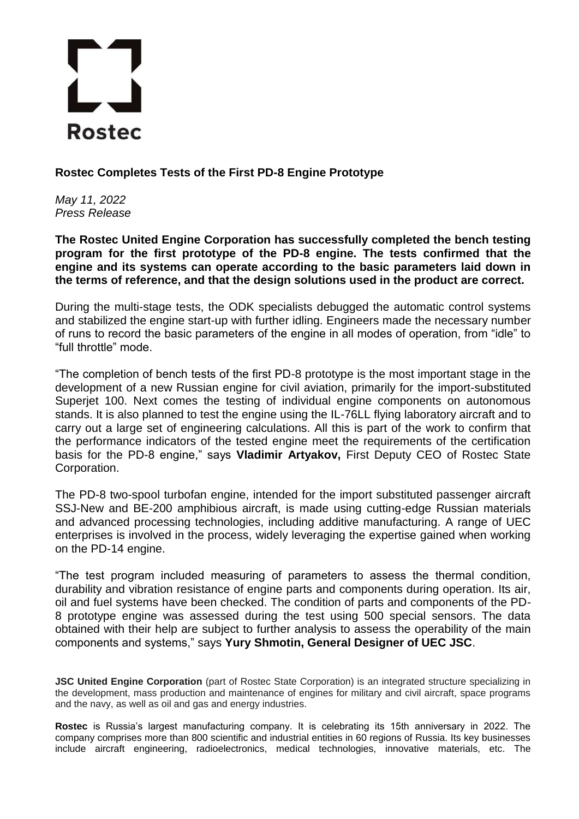## $\mathbf{r}$ **Rostec**

**Rostec Completes Tests of the First PD-8 Engine Prototype**

*May 11, 2022 Press Release*

**The Rostec United Engine Corporation has successfully completed the bench testing program for the first prototype of the PD-8 engine. The tests confirmed that the engine and its systems can operate according to the basic parameters laid down in the terms of reference, and that the design solutions used in the product are correct.** 

During the multi-stage tests, the ODK specialists debugged the automatic control systems and stabilized the engine start-up with further idling. Engineers made the necessary number of runs to record the basic parameters of the engine in all modes of operation, from "idle" to "full throttle" mode.

"The completion of bench tests of the first PD-8 prototype is the most important stage in the development of a new Russian engine for civil aviation, primarily for the import-substituted Superjet 100. Next comes the testing of individual engine components on autonomous stands. It is also planned to test the engine using the IL-76LL flying laboratory aircraft and to carry out a large set of engineering calculations. All this is part of the work to confirm that the performance indicators of the tested engine meet the requirements of the certification basis for the PD-8 engine," says **Vladimir Artyakov,** First Deputy CEO of Rostec State Corporation.

The PD-8 two-spool turbofan engine, intended for the import substituted passenger aircraft SSJ-New and BE-200 amphibious aircraft, is made using cutting-edge Russian materials and advanced processing technologies, including additive manufacturing. A range of UEC enterprises is involved in the process, widely leveraging the expertise gained when working on the PD-14 engine.

"The test program included measuring of parameters to assess the thermal condition, durability and vibration resistance of engine parts and components during operation. Its air, oil and fuel systems have been checked. The condition of parts and components of the PD-8 prototype engine was assessed during the test using 500 special sensors. The data obtained with their help are subject to further analysis to assess the operability of the main components and systems," says **Yury Shmotin, General Designer of UEC JSC**.

**JSC United Engine Corporation** (part of Rostec State Corporation) is an integrated structure specializing in the development, mass production and maintenance of engines for military and civil aircraft, space programs and the navy, as well as oil and gas and energy industries.

**Rostec** is Russia's largest manufacturing company. It is celebrating its 15th anniversary in 2022. The company comprises more than 800 scientific and industrial entities in 60 regions of Russia. Its key businesses include aircraft engineering, radioelectronics, medical technologies, innovative materials, etc. The